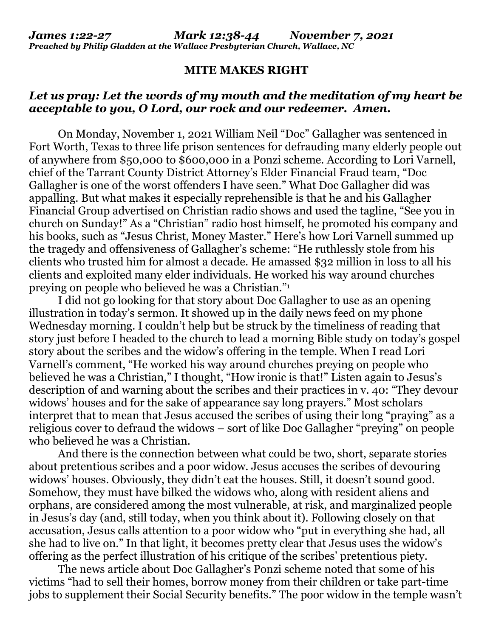## **MITE MAKES RIGHT**

## *Let us pray: Let the words of my mouth and the meditation of my heart be acceptable to you, O Lord, our rock and our redeemer. Amen.*

On Monday, November 1, 2021 William Neil "Doc" Gallagher was sentenced in Fort Worth, Texas to three life prison sentences for defrauding many elderly people out of anywhere from \$50,000 to \$600,000 in a Ponzi scheme. According to Lori Varnell, chief of the Tarrant County District Attorney's Elder Financial Fraud team, "Doc Gallagher is one of the worst offenders I have seen." What Doc Gallagher did was appalling. But what makes it especially reprehensible is that he and his Gallagher Financial Group advertised on Christian radio shows and used the tagline, "See you in church on Sunday!" As a "Christian" radio host himself, he promoted his company and his books, such as "Jesus Christ, Money Master." Here's how Lori Varnell summed up the tragedy and offensiveness of Gallagher's scheme: "He ruthlessly stole from his clients who trusted him for almost a decade. He amassed \$32 million in loss to all his clients and exploited many elder individuals. He worked his way around churches preying on people who believed he was a Christian."<sup>1</sup>

 I did not go looking for that story about Doc Gallagher to use as an opening illustration in today's sermon. It showed up in the daily news feed on my phone Wednesday morning. I couldn't help but be struck by the timeliness of reading that story just before I headed to the church to lead a morning Bible study on today's gospel story about the scribes and the widow's offering in the temple. When I read Lori Varnell's comment, "He worked his way around churches preying on people who believed he was a Christian," I thought, "How ironic is that!" Listen again to Jesus's description of and warning about the scribes and their practices in v. 40: "They devour widows' houses and for the sake of appearance say long prayers." Most scholars interpret that to mean that Jesus accused the scribes of using their long "praying" as a religious cover to defraud the widows – sort of like Doc Gallagher "preying" on people who believed he was a Christian.

 And there is the connection between what could be two, short, separate stories about pretentious scribes and a poor widow. Jesus accuses the scribes of devouring widows' houses. Obviously, they didn't eat the houses. Still, it doesn't sound good. Somehow, they must have bilked the widows who, along with resident aliens and orphans, are considered among the most vulnerable, at risk, and marginalized people in Jesus's day (and, still today, when you think about it). Following closely on that accusation, Jesus calls attention to a poor widow who "put in everything she had, all she had to live on." In that light, it becomes pretty clear that Jesus uses the widow's offering as the perfect illustration of his critique of the scribes' pretentious piety.

 The news article about Doc Gallagher's Ponzi scheme noted that some of his victims "had to sell their homes, borrow money from their children or take part-time jobs to supplement their Social Security benefits." The poor widow in the temple wasn't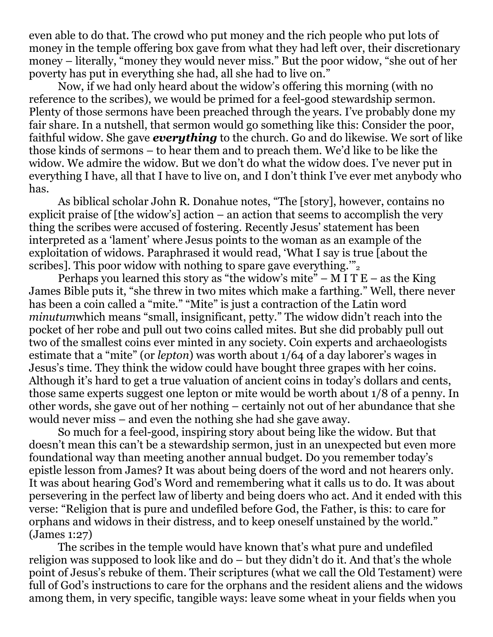even able to do that. The crowd who put money and the rich people who put lots of money in the temple offering box gave from what they had left over, their discretionary money – literally, "money they would never miss." But the poor widow, "she out of her poverty has put in everything she had, all she had to live on."

 Now, if we had only heard about the widow's offering this morning (with no reference to the scribes), we would be primed for a feel-good stewardship sermon. Plenty of those sermons have been preached through the years. I've probably done my fair share. In a nutshell, that sermon would go something like this: Consider the poor, faithful widow. She gave *everything* to the church. Go and do likewise. We sort of like those kinds of sermons – to hear them and to preach them. We'd like to be like the widow. We admire the widow. But we don't do what the widow does. I've never put in everything I have, all that I have to live on, and I don't think I've ever met anybody who has.

 As biblical scholar John R. Donahue notes, "The [story], however, contains no explicit praise of [the widow's] action – an action that seems to accomplish the very thing the scribes were accused of fostering. Recently Jesus' statement has been interpreted as a 'lament' where Jesus points to the woman as an example of the exploitation of widows. Paraphrased it would read, 'What I say is true [about the scribes]. This poor widow with nothing to spare gave everything. $v_2$ 

Perhaps you learned this story as "the widow's mite" – M I T  $E$  – as the King James Bible puts it, "she threw in two mites which make a farthing." Well, there never has been a coin called a "mite." "Mite" is just a contraction of the Latin word *minutum*which means "small, insignificant, petty." The widow didn't reach into the pocket of her robe and pull out two coins called mites. But she did probably pull out two of the smallest coins ever minted in any society. Coin experts and archaeologists estimate that a "mite" (or *lepton*) was worth about 1/64 of a day laborer's wages in Jesus's time. They think the widow could have bought three grapes with her coins. Although it's hard to get a true valuation of ancient coins in today's dollars and cents, those same experts suggest one lepton or mite would be worth about 1/8 of a penny. In other words, she gave out of her nothing – certainly not out of her abundance that she would never miss – and even the nothing she had she gave away.

 So much for a feel-good, inspiring story about being like the widow. But that doesn't mean this can't be a stewardship sermon, just in an unexpected but even more foundational way than meeting another annual budget. Do you remember today's epistle lesson from James? It was about being doers of the word and not hearers only. It was about hearing God's Word and remembering what it calls us to do. It was about persevering in the perfect law of liberty and being doers who act. And it ended with this verse: "Religion that is pure and undefiled before God, the Father, is this: to care for orphans and widows in their distress, and to keep oneself unstained by the world." (James 1:27)

 The scribes in the temple would have known that's what pure and undefiled religion was supposed to look like and do – but they didn't do it. And that's the whole point of Jesus's rebuke of them. Their scriptures (what we call the Old Testament) were full of God's instructions to care for the orphans and the resident aliens and the widows among them, in very specific, tangible ways: leave some wheat in your fields when you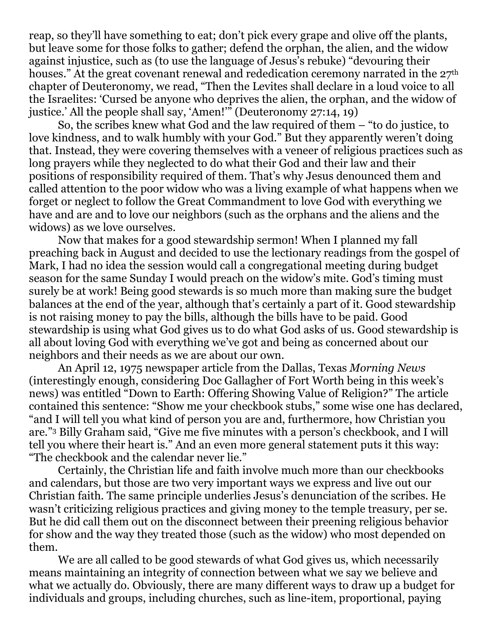reap, so they'll have something to eat; don't pick every grape and olive off the plants, but leave some for those folks to gather; defend the orphan, the alien, and the widow against injustice, such as (to use the language of Jesus's rebuke) "devouring their houses." At the great covenant renewal and rededication ceremony narrated in the  $27<sup>th</sup>$ chapter of Deuteronomy, we read, "Then the Levites shall declare in a loud voice to all the Israelites: 'Cursed be anyone who deprives the alien, the orphan, and the widow of justice.' All the people shall say, 'Amen!'" (Deuteronomy 27:14, 19)

 So, the scribes knew what God and the law required of them – "to do justice, to love kindness, and to walk humbly with your God." But they apparently weren't doing that. Instead, they were covering themselves with a veneer of religious practices such as long prayers while they neglected to do what their God and their law and their positions of responsibility required of them. That's why Jesus denounced them and called attention to the poor widow who was a living example of what happens when we forget or neglect to follow the Great Commandment to love God with everything we have and are and to love our neighbors (such as the orphans and the aliens and the widows) as we love ourselves.

 Now that makes for a good stewardship sermon! When I planned my fall preaching back in August and decided to use the lectionary readings from the gospel of Mark, I had no idea the session would call a congregational meeting during budget season for the same Sunday I would preach on the widow's mite. God's timing must surely be at work! Being good stewards is so much more than making sure the budget balances at the end of the year, although that's certainly a part of it. Good stewardship is not raising money to pay the bills, although the bills have to be paid. Good stewardship is using what God gives us to do what God asks of us. Good stewardship is all about loving God with everything we've got and being as concerned about our neighbors and their needs as we are about our own.

 An April 12, 1975 newspaper article from the Dallas, Texas *Morning News* (interestingly enough, considering Doc Gallagher of Fort Worth being in this week's news) was entitled "Down to Earth: Offering Showing Value of Religion?" The article contained this sentence: "Show me your checkbook stubs," some wise one has declared, "and I will tell you what kind of person you are and, furthermore, how Christian you are."3 Billy Graham said, "Give me five minutes with a person's checkbook, and I will tell you where their heart is." And an even more general statement puts it this way: "The checkbook and the calendar never lie."

 Certainly, the Christian life and faith involve much more than our checkbooks and calendars, but those are two very important ways we express and live out our Christian faith. The same principle underlies Jesus's denunciation of the scribes. He wasn't criticizing religious practices and giving money to the temple treasury, per se. But he did call them out on the disconnect between their preening religious behavior for show and the way they treated those (such as the widow) who most depended on them.

 We are all called to be good stewards of what God gives us, which necessarily means maintaining an integrity of connection between what we say we believe and what we actually do. Obviously, there are many different ways to draw up a budget for individuals and groups, including churches, such as line-item, proportional, paying